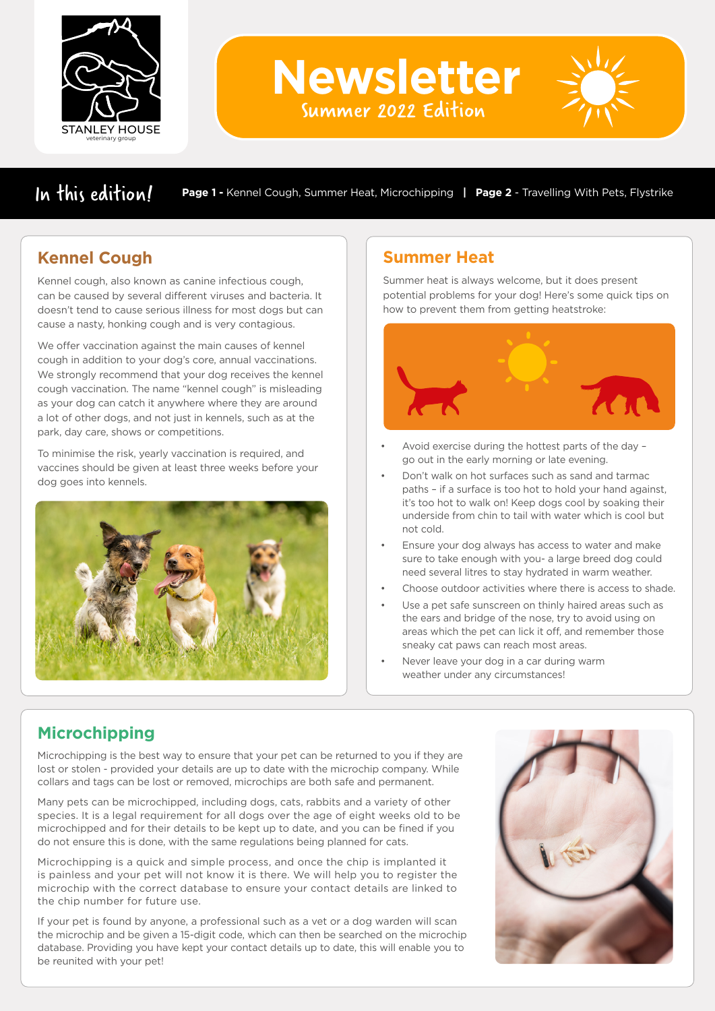

**Newsletter**

Summer 2022 Edition

In this edition/ **Page 1 -** Kennel Cough, Summer Heat, Microchipping | Page 2 - Travelling With Pets, Flystrike

# **Kennel Cough**

Kennel cough, also known as canine infectious cough, can be caused by several different viruses and bacteria. It doesn't tend to cause serious illness for most dogs but can cause a nasty, honking cough and is very contagious.

We offer vaccination against the main causes of kennel cough in addition to your dog's core, annual vaccinations. We strongly recommend that your dog receives the kennel cough vaccination. The name "kennel cough" is misleading as your dog can catch it anywhere where they are around a lot of other dogs, and not just in kennels, such as at the park, day care, shows or competitions.

To minimise the risk, yearly vaccination is required, and vaccines should be given at least three weeks before your dog goes into kennels.



## **Summer Heat**

Summer heat is always welcome, but it does present potential problems for your dog! Here's some quick tips on how to prevent them from getting heatstroke:



- Avoid exercise during the hottest parts of the day go out in the early morning or late evening.
- Don't walk on hot surfaces such as sand and tarmac paths – if a surface is too hot to hold your hand against, it's too hot to walk on! Keep dogs cool by soaking their underside from chin to tail with water which is cool but not cold.
- Ensure your dog always has access to water and make sure to take enough with you- a large breed dog could need several litres to stay hydrated in warm weather.
- Choose outdoor activities where there is access to shade.
- Use a pet safe sunscreen on thinly haired areas such as the ears and bridge of the nose, try to avoid using on areas which the pet can lick it off, and remember those sneaky cat paws can reach most areas.
- Never leave your dog in a car during warm weather under any circumstances!

# **Microchipping**

Microchipping is the best way to ensure that your pet can be returned to you if they are lost or stolen - provided your details are up to date with the microchip company. While collars and tags can be lost or removed, microchips are both safe and permanent.

Many pets can be microchipped, including dogs, cats, rabbits and a variety of other species. It is a legal requirement for all dogs over the age of eight weeks old to be microchipped and for their details to be kept up to date, and you can be fined if you do not ensure this is done, with the same regulations being planned for cats.

Microchipping is a quick and simple process, and once the chip is implanted it is painless and your pet will not know it is there. We will help you to register the microchip with the correct database to ensure your contact details are linked to the chip number for future use.

If your pet is found by anyone, a professional such as a vet or a dog warden will scan the microchip and be given a 15-digit code, which can then be searched on the microchip database. Providing you have kept your contact details up to date, this will enable you to be reunited with your pet!